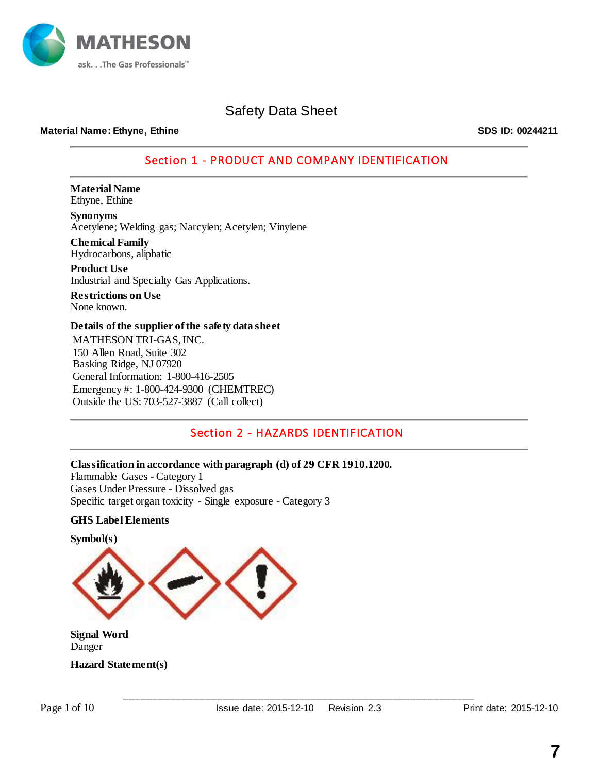

### **Material Name: Ethyne, Ethine SDS ID: 00244211**

### Section 1 - PRODUCT AND COMPANY IDENTIFICATION

**Material Name** Ethyne, Ethine

**Synonyms** Acetylene; Welding gas; Narcylen; Acetylen; Vinylene

**Chemical Family** Hydrocarbons, aliphatic

**Product Use** Industrial and Specialty Gas Applications.

**Restrictions on Use** None known.

### **Details of the supplier of the safety data sheet**

MATHESON TRI-GAS, INC. 150 Allen Road, Suite 302 Basking Ridge, NJ 07920 General Information: 1-800-416-2505 Emergency #: 1-800-424-9300 (CHEMTREC) Outside the US: 703-527-3887 (Call collect)

### Section 2 - HAZARDS IDENTIFICATION

**Classification in accordance with paragraph (d) of 29 CFR 1910.1200.** Flammable Gases - Category 1 Gases Under Pressure - Dissolved gas Specific target organ toxicity - Single exposure - Category 3

### **GHS Label Elements**



**Signal Word** Danger

**Hazard Statement(s)**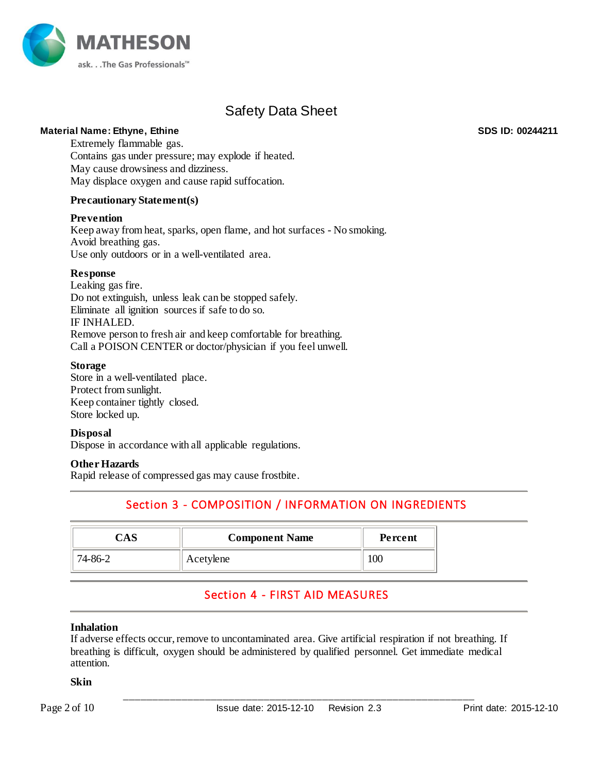

### **Material Name: Ethyne, Ethine SDS ID: 00244211**

Extremely flammable gas. Contains gas under pressure; may explode if heated. May cause drowsiness and dizziness. May displace oxygen and cause rapid suffocation.

### **Precautionary Statement(s)**

### **Prevention**

Keep away from heat, sparks, open flame, and hot surfaces - No smoking. Avoid breathing gas. Use only outdoors or in a well-ventilated area.

### **Response**

Leaking gas fire. Do not extinguish, unless leak can be stopped safely. Eliminate all ignition sources if safe to do so. IF INHALED. Remove person to fresh air and keep comfortable for breathing. Call a POISON CENTER or doctor/physician if you feel unwell.

### **Storage**

Store in a well-ventilated place. Protect from sunlight. Keep container tightly closed. Store locked up.

### **Disposal**

Dispose in accordance with all applicable regulations.

### **Other Hazards**

Rapid release of compressed gas may cause frostbite.

## Section 3 - COMPOSITION / INFORMATION ON INGREDIENTS

|         | <b>Component Name</b> | Percent |
|---------|-----------------------|---------|
| 74-86-2 | Acetylene             | w       |

### Section 4 - FIRST AID MEASURES

### **Inhalation**

If adverse effects occur, remove to uncontaminated area. Give artificial respiration if not breathing. If breathing is difficult, oxygen should be administered by qualified personnel. Get immediate medical attention.

### **Skin**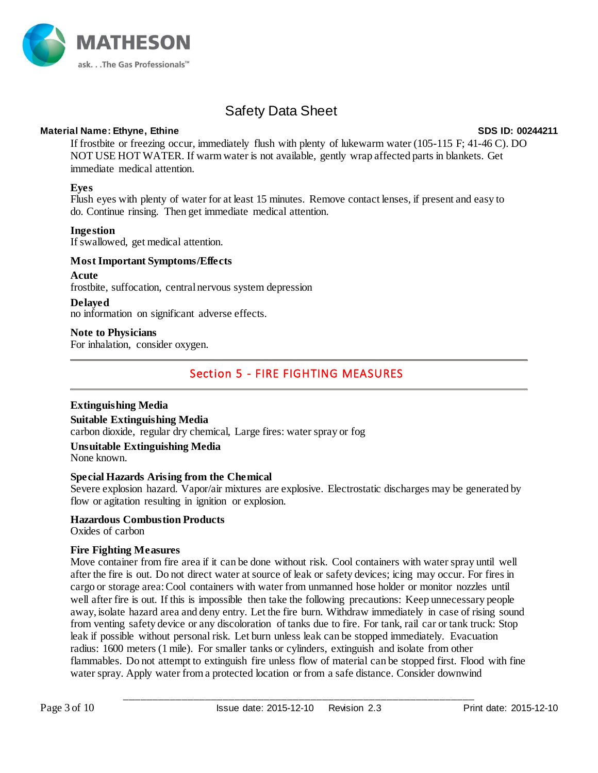

### **Material Name: Ethyne, Ethine SDS ID: 00244211**

If frostbite or freezing occur, immediately flush with plenty of lukewarm water (105-115 F; 41-46 C). DO NOT USE HOT WATER. If warm water is not available, gently wrap affected parts in blankets. Get immediate medical attention.

### **Eyes**

Flush eyes with plenty of water for at least 15 minutes. Remove contact lenses, if present and easy to do. Continue rinsing. Then get immediate medical attention.

### **Ingestion**

If swallowed, get medical attention.

### **Most Important Symptoms/Effects**

### **Acute**

frostbite, suffocation, central nervous system depression

### **Delayed**

no information on significant adverse effects.

### **Note to Physicians**

For inhalation, consider oxygen.

### Section 5 - FIRE FIGHTING MEASURES

### **Extinguishing Media**

### **Suitable Extinguishing Media**

carbon dioxide, regular dry chemical, Large fires: water spray or fog

### **Unsuitable Extinguishing Media**

None known.

### **Special Hazards Arising from the Chemical**

Severe explosion hazard. Vapor/air mixtures are explosive. Electrostatic discharges may be generated by flow or agitation resulting in ignition or explosion.

### **Hazardous Combustion Products**

Oxides of carbon

### **Fire Fighting Measures**

Move container from fire area if it can be done without risk. Cool containers with water spray until well after the fire is out. Do not direct water at source of leak or safety devices; icing may occur. For fires in cargo or storage area:Cool containers with water from unmanned hose holder or monitor nozzles until well after fire is out. If this is impossible then take the following precautions: Keep unnecessary people away, isolate hazard area and deny entry. Let the fire burn. Withdraw immediately in case of rising sound from venting safety device or any discoloration of tanks due to fire. For tank, rail car or tank truck: Stop leak if possible without personal risk. Let burn unless leak can be stopped immediately. Evacuation radius: 1600 meters (1 mile). For smaller tanks or cylinders, extinguish and isolate from other flammables. Do not attempt to extinguish fire unless flow of material can be stopped first. Flood with fine water spray. Apply water from a protected location or from a safe distance. Consider downwind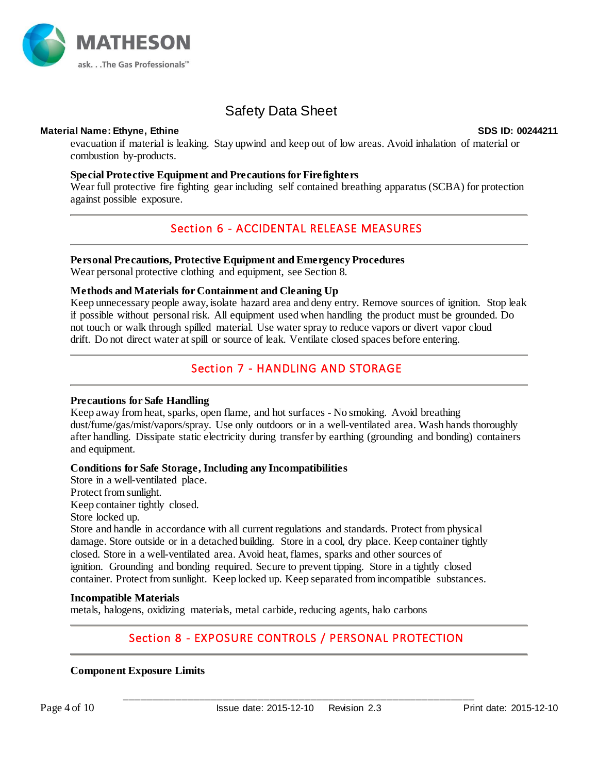

### **Material Name: Ethyne, Ethine SDS ID: 00244211**

evacuation if material is leaking. Stay upwind and keep out of low areas. Avoid inhalation of material or combustion by-products.

### **Special Protective Equipment and Precautions for Firefighters**

Wear full protective fire fighting gear including self contained breathing apparatus (SCBA) for protection against possible exposure.

### Section 6 - ACCIDENTAL RELEASE MEASURES

### **Personal Precautions, Protective Equipment and Emergency Procedures**

Wear personal protective clothing and equipment, see Section 8.

### **Methods and Materials for Containment and Cleaning Up**

Keep unnecessary people away, isolate hazard area and deny entry. Remove sources of ignition. Stop leak if possible without personal risk. All equipment used when handling the product must be grounded. Do not touch or walk through spilled material. Use water spray to reduce vapors or divert vapor cloud drift. Do not direct water at spill or source of leak. Ventilate closed spaces before entering.

### Section 7 - HANDLING AND STORAGE

### **Precautions for Safe Handling**

Keep away from heat, sparks, open flame, and hot surfaces - No smoking. Avoid breathing dust/fume/gas/mist/vapors/spray. Use only outdoors or in a well-ventilated area. Wash hands thoroughly after handling. Dissipate static electricity during transfer by earthing (grounding and bonding) containers and equipment.

### **Conditions for Safe Storage, Including any Incompatibilities**

Store in a well-ventilated place. Protect from sunlight. Keep container tightly closed.

Store locked up.

Store and handle in accordance with all current regulations and standards. Protect from physical damage. Store outside or in a detached building. Store in a cool, dry place. Keep container tightly closed. Store in a well-ventilated area. Avoid heat, flames, sparks and other sources of ignition. Grounding and bonding required. Secure to prevent tipping. Store in a tightly closed container. Protect from sunlight. Keep locked up. Keep separated from incompatible substances.

### **Incompatible Materials**

metals, halogens, oxidizing materials, metal carbide, reducing agents, halo carbons

### Section 8 - EXPOSURE CONTROLS / PERSONAL PROTECTION

### **Component Exposure Limits**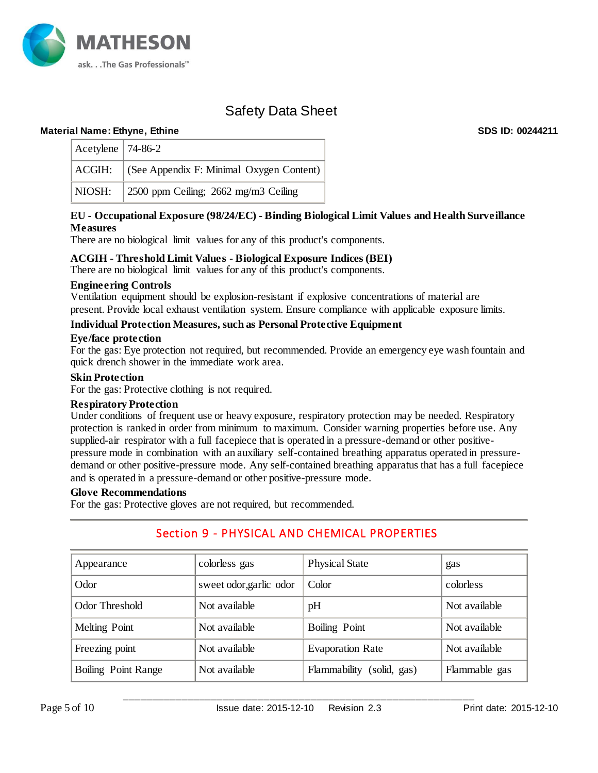

### **Material Name: Ethyne, Ethine SDS ID: 00244211**

| Acetylene   $74-86-2$ |                                                 |
|-----------------------|-------------------------------------------------|
|                       | ACGIH: (See Appendix F: Minimal Oxygen Content) |
|                       | NIOSH: 2500 ppm Ceiling; 2662 mg/m3 Ceiling     |

### **EU - Occupational Exposure (98/24/EC) - Binding Biological Limit Values and Health Surveillance Measures**

There are no biological limit values for any of this product's components.

### **ACGIH - Threshold Limit Values - Biological Exposure Indices (BEI)**

There are no biological limit values for any of this product's components.

#### **Engineering Controls**

Ventilation equipment should be explosion-resistant if explosive concentrations of material are present. Provide local exhaust ventilation system. Ensure compliance with applicable exposure limits.

### **Individual Protection Measures, such as Personal Protective Equipment**

#### **Eye/face protection**

For the gas: Eye protection not required, but recommended. Provide an emergency eye wash fountain and quick drench shower in the immediate work area.

#### **Skin Protection**

For the gas: Protective clothing is not required.

### **Respiratory Protection**

Under conditions of frequent use or heavy exposure, respiratory protection may be needed. Respiratory protection is ranked in order from minimum to maximum. Consider warning properties before use. Any supplied-air respirator with a full facepiece that is operated in a pressure-demand or other positivepressure mode in combination with an auxiliary self-contained breathing apparatus operated in pressuredemand or other positive-pressure mode. Any self-contained breathing apparatus that has a full facepiece and is operated in a pressure-demand or other positive-pressure mode.

#### **Glove Recommendations**

For the gas: Protective gloves are not required, but recommended.

### Section 9 - PHYSICAL AND CHEMICAL PROPERTIES

| Appearance          | colorless gas           |                              | gas           |  |
|---------------------|-------------------------|------------------------------|---------------|--|
| Odor                | sweet odor, garlic odor | Color                        | colorless     |  |
| Odor Threshold      | Not available           | pH                           | Not available |  |
| Melting Point       | Not available           | Boiling Point                | Not available |  |
| Freezing point      | Not available           | <b>Evaporation Rate</b>      | Not available |  |
| Boiling Point Range | Not available           | Flammability<br>(solid, gas) | Flammable gas |  |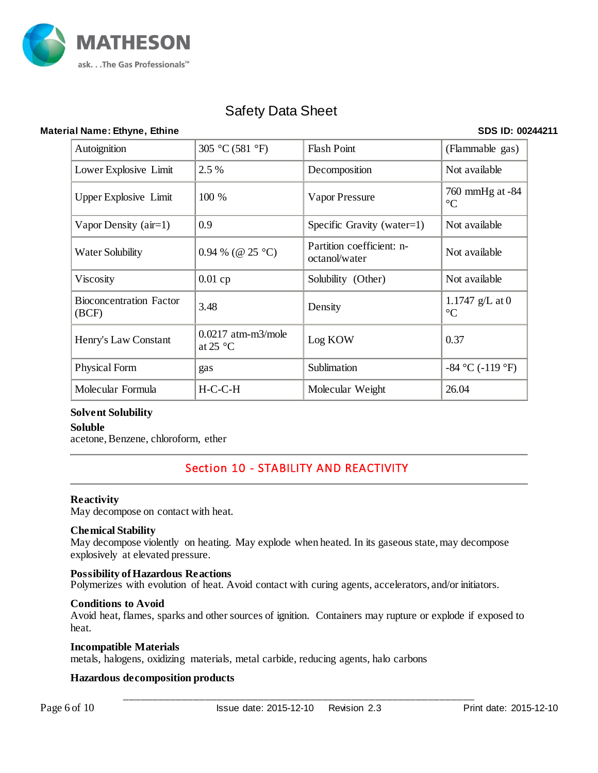

### **Material Name: Ethyne, Ethine SDS ID: 00244211**

| Autoignition                            | 305 °C (581 °F)                                    | <b>Flash Point</b>                         | (Flammable gas)                      |
|-----------------------------------------|----------------------------------------------------|--------------------------------------------|--------------------------------------|
| Lower Explosive Limit                   | 2.5 %                                              | Decomposition                              | Not available                        |
| <b>Upper Explosive Limit</b>            | 100 %                                              | Vapor Pressure                             | 760 mmHg at -84<br>$\rm ^{\circ}C$   |
| Vapor Density $(air=1)$                 | 0.9                                                | Specific Gravity (water=1)                 | Not available                        |
| Water Solubility                        | 0.94 % (@ 25 °C)                                   | Partition coefficient: n-<br>octanol/water | Not available                        |
| Viscosity                               | 0.01cp                                             | Solubility (Other)                         | Not available                        |
| <b>Bioconcentration Factor</b><br>(BCF) | 3.48                                               | Density                                    | 1.1747 $g/L$ at 0<br>$\rm ^{\circ}C$ |
| Henry's Law Constant                    | $0.0217$ atm-m3/mole<br>at 25 $\mathrm{^{\circ}C}$ | Log KOW                                    | 0.37                                 |
| Physical Form                           | gas                                                | Sublimation                                | $-84$ °C ( $-119$ °F)                |
| Molecular Formula                       | $H-C-C-H$                                          | Molecular Weight                           | 26.04                                |

### **Solvent Solubility**

### **Soluble**

acetone, Benzene, chloroform, ether

### Section 10 - STABILITY AND REACTIVITY

### **Reactivity**

May decompose on contact with heat.

### **Chemical Stability**

May decompose violently on heating. May explode when heated. In its gaseous state, may decompose explosively at elevated pressure.

### **Possibility of Hazardous Reactions**

Polymerizes with evolution of heat. Avoid contact with curing agents, accelerators, and/or initiators.

### **Conditions to Avoid**

Avoid heat, flames, sparks and other sources of ignition. Containers may rupture or explode if exposed to heat.

### **Incompatible Materials**

metals, halogens, oxidizing materials, metal carbide, reducing agents, halo carbons

### **Hazardous decomposition products**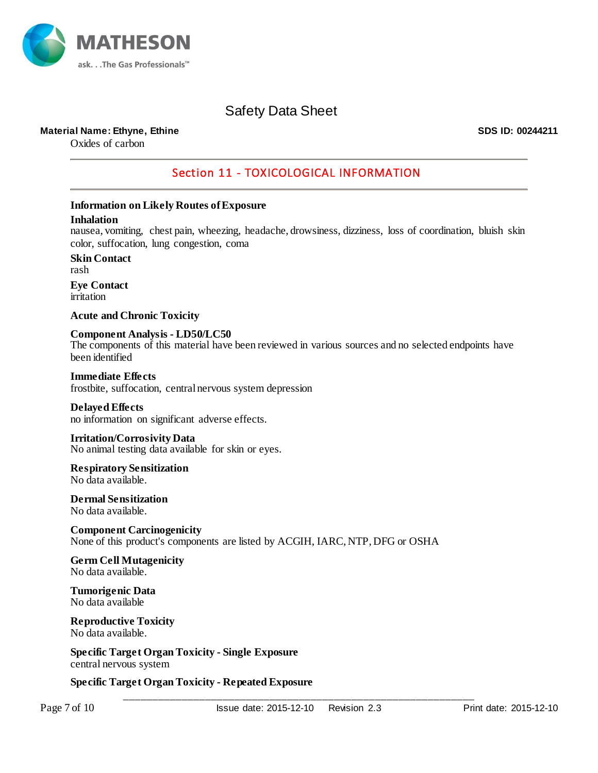

### **Material Name: Ethyne, Ethine SDS ID: 00244211**

Oxides of carbon

### Section 11 - TOXICOLOGICAL INFORMATION

### **Information on Likely Routes of Exposure**

#### **Inhalation**

nausea, vomiting, chest pain, wheezing, headache, drowsiness, dizziness, loss of coordination, bluish skin color, suffocation, lung congestion, coma

**Skin Contact** rash **Eye Contact**

irritation

**Acute and Chronic Toxicity**

**Component Analysis - LD50/LC50** The components of this material have been reviewed in various sources and no selected endpoints have been identified

**Immediate Effects** frostbite, suffocation, central nervous system depression

### **Delayed Effects**

no information on significant adverse effects.

**Irritation/Corrosivity Data** No animal testing data available for skin or eyes.

**Respiratory Sensitization** No data available.

**Dermal Sensitization** No data available.

**Component Carcinogenicity** None of this product's components are listed by ACGIH, IARC, NTP, DFG or OSHA

**Germ Cell Mutagenicity** No data available.

**Tumorigenic Data** No data available

#### **Reproductive Toxicity** No data available.

**Specific Target Organ Toxicity - Single Exposure** central nervous system

**Specific Target Organ Toxicity - Repeated Exposure**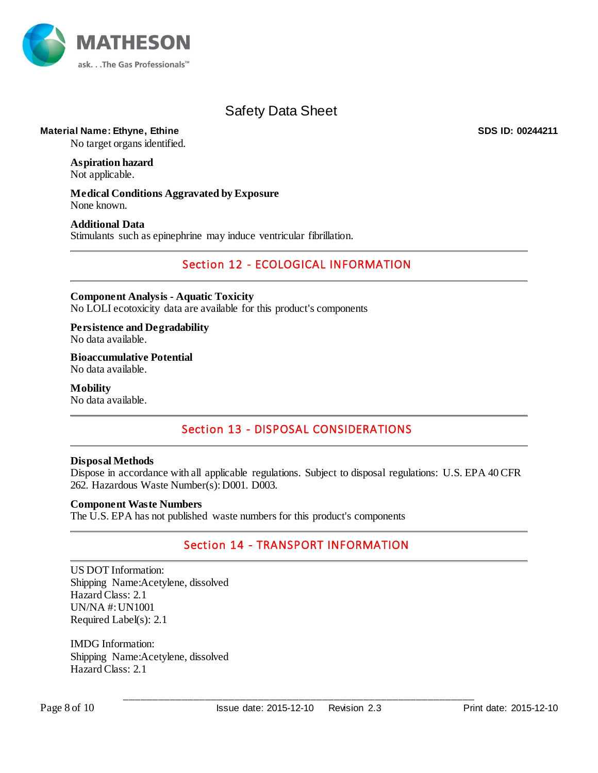

### **Material Name: Ethyne, Ethine SDS ID: 00244211**

No target organs identified.

# **Aspiration hazard**

Not applicable.

**Medical Conditions Aggravated by Exposure** None known.

### **Additional Data**

Stimulants such as epinephrine may induce ventricular fibrillation.

### Section 12 - ECOLOGICAL INFORMATION

**Component Analysis - Aquatic Toxicity** No LOLI ecotoxicity data are available for this product's components

**Persistence and Degradability** No data available.

**Bioaccumulative Potential** No data available.

**Mobility** No data available.

### Section 13 - DISPOSAL CONSIDERATIONS

### **Disposal Methods**

Dispose in accordance with all applicable regulations. Subject to disposal regulations: U.S. EPA 40 CFR 262. Hazardous Waste Number(s):D001. D003.

### **Component Waste Numbers**

The U.S. EPA has not published waste numbers for this product's components

### Section 14 - TRANSPORT INFORMATION

US DOT Information: Shipping Name:Acetylene, dissolved Hazard Class: 2.1 UN/NA #: UN1001 Required Label(s): 2.1

IMDG Information: Shipping Name:Acetylene, dissolved Hazard Class: 2.1

Page 8 of 10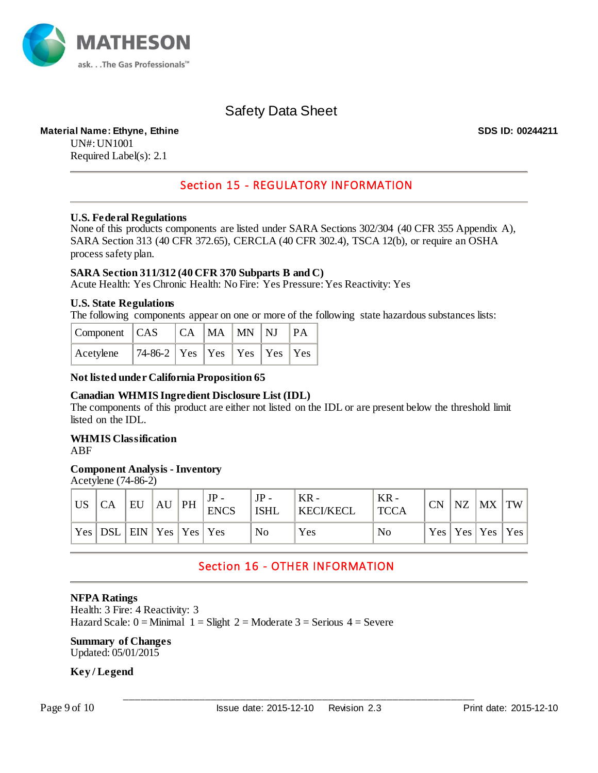

### **Material Name: Ethyne, Ethine SDS ID: 00244211**

UN#: UN1001 Required Label(s): 2.1

### Section 15 - REGULATORY INFORMATION

### **U.S. Federal Regulations**

None of this products components are listed under SARA Sections 302/304 (40 CFR 355 Appendix A), SARA Section 313 (40 CFR 372.65), CERCLA (40 CFR 302.4), TSCA 12(b), or require an OSHA process safety plan.

### **SARA Section 311/312 (40 CFR 370 Subparts B and C)**

Acute Health: Yes Chronic Health: No Fire: Yes Pressure: Yes Reactivity: Yes

### **U.S. State Regulations**

The following components appear on one or more of the following state hazardous substances lists:

| $\mathsf{Component}$ $\mathsf{CAS}$ |                                   |  | CA MA MN NJ PA |  |  |  |
|-------------------------------------|-----------------------------------|--|----------------|--|--|--|
| $ $ Acetylene                       | $74-86-2$ Yes Yes Yes Yes Yes Yes |  |                |  |  |  |

#### **Not listed under California Proposition 65**

### **Canadian WHMIS Ingredient Disclosure List (IDL)**

The components of this product are either not listed on the IDL or are present below the threshold limit listed on the IDL.

#### **WHMIS Classification** ABF

### **Component Analysis - Inventory**

Acetylene (74-86-2)

| $\overline{\overline{\mathsf{U}}}\mathsf{S}$ | <b>CA</b>                    | EU |  | $JP -$<br>$AU$ PH $\Big _{\text{ENCS}}^{31}$ | $JP -$<br><b>ISHL</b> | ' KR -<br><b>KECI/KECL</b> | $KR -$<br><b>TCCA</b> | <b>CN</b> | <b>NZ</b> | $\vert$ MX $\vert$ TW |  |
|----------------------------------------------|------------------------------|----|--|----------------------------------------------|-----------------------|----------------------------|-----------------------|-----------|-----------|-----------------------|--|
|                                              | Yes  DSL  EIN  Yes  Yes  Yes |    |  |                                              | N <sub>0</sub>        | Yes                        | N <sub>0</sub>        |           |           | Yes   Yes   Yes   Yes |  |

### Section 16 - OTHER INFORMATION

### **NFPA Ratings**

Health: 3 Fire: 4 Reactivity: 3 Hazard Scale:  $0 =$ Minimal  $1 =$  Slight  $2 =$  Moderate  $3 =$  Serious  $4 =$  Severe

### **Summary of Changes**

Updated: 05/01/2015

### **Key / Legend**